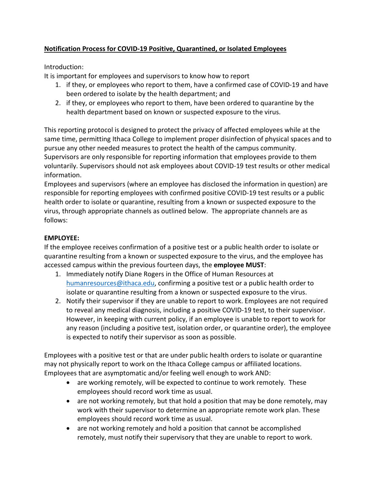# **Notification Process for COVID-19 Positive, Quarantined, or Isolated Employees**

Introduction:

It is important for employees and supervisors to know how to report

- 1. if they, or employees who report to them, have a confirmed case of COVID-19 and have been ordered to isolate by the health department; and
- 2. if they, or employees who report to them, have been ordered to quarantine by the health department based on known or suspected exposure to the virus.

This reporting protocol is designed to protect the privacy of affected employees while at the same time, permitting Ithaca College to implement proper disinfection of physical spaces and to pursue any other needed measures to protect the health of the campus community. Supervisors are only responsible for reporting information that employees provide to them voluntarily. Supervisors should not ask employees about COVID-19 test results or other medical information.

Employees and supervisors (where an employee has disclosed the information in question) are responsible for reporting employees with confirmed positive COVID-19 test results or a public health order to isolate or quarantine, resulting from a known or suspected exposure to the virus, through appropriate channels as outlined below. The appropriate channels are as follows:

## **EMPLOYEE:**

If the employee receives confirmation of a positive test or a public health order to isolate or quarantine resulting from a known or suspected exposure to the virus, and the employee has accessed campus within the previous fourteen days, the **employee MUST**:

- 1. Immediately notify Diane Rogers in the Office of Human Resources at [humanresources@ithaca.edu,](mailto:humanresources@ithaca.edu) confirming a positive test or a public health order to isolate or quarantine resulting from a known or suspected exposure to the virus.
- 2. Notify their supervisor if they are unable to report to work. Employees are not required to reveal any medical diagnosis, including a positive COVID-19 test, to their supervisor. However, in keeping with current policy, if an employee is unable to report to work for any reason (including a positive test, isolation order, or quarantine order), the employee is expected to notify their supervisor as soon as possible.

Employees with a positive test or that are under public health orders to isolate or quarantine may not physically report to work on the Ithaca College campus or affiliated locations. Employees that are asymptomatic and/or feeling well enough to work AND:

- are working remotely, will be expected to continue to work remotely. These employees should record work time as usual.
- are not working remotely, but that hold a position that may be done remotely, may work with their supervisor to determine an appropriate remote work plan. These employees should record work time as usual.
- are not working remotely and hold a position that cannot be accomplished remotely, must notify their supervisory that they are unable to report to work.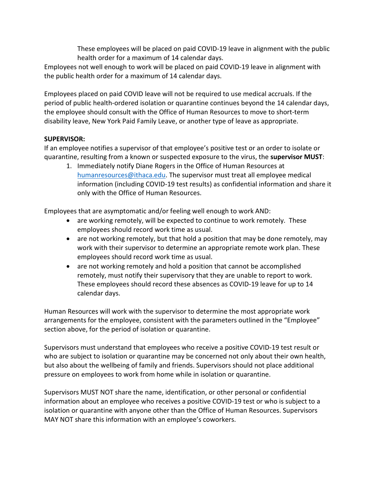These employees will be placed on paid COVID-19 leave in alignment with the public health order for a maximum of 14 calendar days.

Employees not well enough to work will be placed on paid COVID-19 leave in alignment with the public health order for a maximum of 14 calendar days.

Employees placed on paid COVID leave will not be required to use medical accruals. If the period of public health-ordered isolation or quarantine continues beyond the 14 calendar days, the employee should consult with the Office of Human Resources to move to short-term disability leave, New York Paid Family Leave, or another type of leave as appropriate.

## **SUPERVISOR:**

If an employee notifies a supervisor of that employee's positive test or an order to isolate or quarantine, resulting from a known or suspected exposure to the virus, the **supervisor MUST**:

1. Immediately notify Diane Rogers in the Office of Human Resources at [humanresources@ithaca.edu.](mailto:humanresources@ithaca.edu) The supervisor must treat all employee medical information (including COVID-19 test results) as confidential information and share it only with the Office of Human Resources.

Employees that are asymptomatic and/or feeling well enough to work AND:

- are working remotely, will be expected to continue to work remotely. These employees should record work time as usual.
- are not working remotely, but that hold a position that may be done remotely, may work with their supervisor to determine an appropriate remote work plan. These employees should record work time as usual.
- are not working remotely and hold a position that cannot be accomplished remotely, must notify their supervisory that they are unable to report to work. These employees should record these absences as COVID-19 leave for up to 14 calendar days.

Human Resources will work with the supervisor to determine the most appropriate work arrangements for the employee, consistent with the parameters outlined in the "Employee" section above, for the period of isolation or quarantine.

Supervisors must understand that employees who receive a positive COVID-19 test result or who are subject to isolation or quarantine may be concerned not only about their own health, but also about the wellbeing of family and friends. Supervisors should not place additional pressure on employees to work from home while in isolation or quarantine.

Supervisors MUST NOT share the name, identification, or other personal or confidential information about an employee who receives a positive COVID-19 test or who is subject to a isolation or quarantine with anyone other than the Office of Human Resources. Supervisors MAY NOT share this information with an employee's coworkers.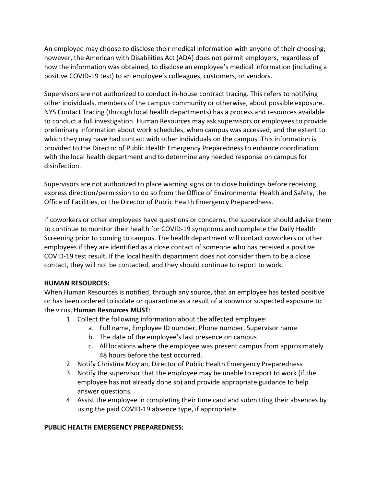An employee may choose to disclose their medical information with anyone of their choosing; however, the American with Disabilities Act (ADA) does not permit employers, regardless of how the information was obtained, to disclose an employee's medical information (including a positive COVID-19 test) to an employee's colleagues, customers, or vendors.

Supervisors are not authorized to conduct in-house contract tracing. This refers to notifying other individuals, members of the campus community or otherwise, about possible exposure. NYS Contact Tracing (through local health departments) has a process and resources available to conduct a full investigation. Human Resources may ask supervisors or employees to provide preliminary information about work schedules, when campus was accessed, and the extent to which they may have had contact with other individuals on the campus. This information is provided to the Director of Public Health Emergency Preparedness to enhance coordination with the local health department and to determine any needed response on campus for disinfection.

Supervisors are not authorized to place warning signs or to close buildings before receiving express direction/permission to do so from the Office of Environmental Health and Safety, the Office of Facilities, or the Director of Public Health Emergency Preparedness.

If coworkers or other employees have questions or concerns, the supervisor should advise them to continue to monitor their health for COVID-19 symptoms and complete the Daily Health Screening prior to coming to campus. The health department will contact coworkers or other employees if they are identified as a close contact of someone who has received a positive COVID-19 test result. If the local health department does not consider them to be a close contact, they will not be contacted, and they should continue to report to work.

#### **HUMAN RESOURCES:**

When Human Resources is notified, through any source, that an employee has tested positive or has been ordered to isolate or quarantine as a result of a known or suspected exposure to the virus, **Human Resources MUST**:

- 1. Collect the following information about the affected employee:
	- a. Full name, Employee ID number, Phone number, Supervisor name
	- b. The date of the employee's last presence on campus
	- c. All locations where the employee was present campus from approximately 48 hours before the test occurred.
- 2. Notify Christina Moylan, Director of Public Health Emergency Preparedness
- 3. Notify the supervisor that the employee may be unable to report to work (if the employee has not already done so) and provide appropriate guidance to help answer questions.
- 4. Assist the employee in completing their time card and submitting their absences by using the paid COVID-19 absence type, if appropriate.

### **PUBLIC HEALTH EMERGENCY PREPAREDNESS:**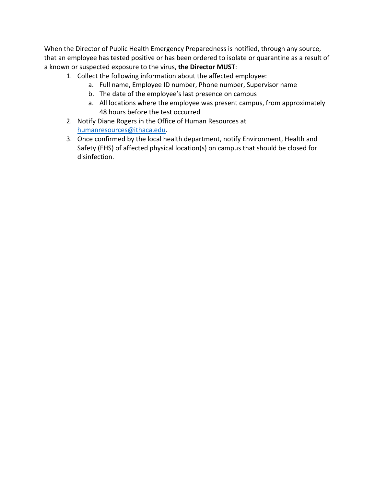When the Director of Public Health Emergency Preparedness is notified, through any source, that an employee has tested positive or has been ordered to isolate or quarantine as a result of a known or suspected exposure to the virus, **the Director MUST**:

- 1. Collect the following information about the affected employee:
	- a. Full name, Employee ID number, Phone number, Supervisor name
	- b. The date of the employee's last presence on campus
	- a. All locations where the employee was present campus, from approximately 48 hours before the test occurred
- 2. Notify Diane Rogers in the Office of Human Resources at [humanresources@ithaca.edu.](mailto:humanresources@ithaca.edu)
- 3. Once confirmed by the local health department, notify Environment, Health and Safety (EHS) of affected physical location(s) on campus that should be closed for disinfection.